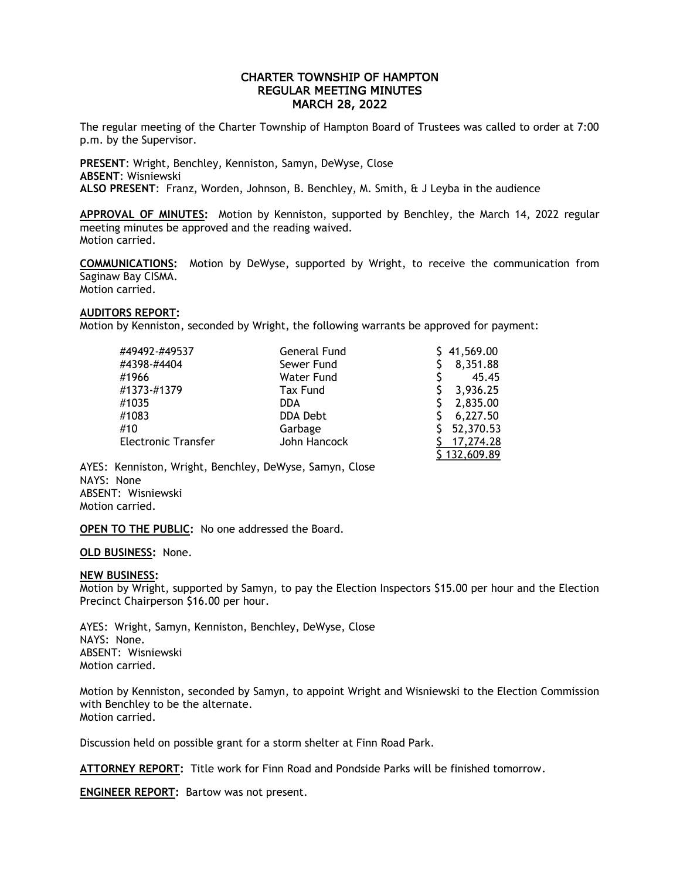# CHARTER TOWNSHIP OF HAMPTON REGULAR MEETING MINUTES MARCH 28, 2022

The regular meeting of the Charter Township of Hampton Board of Trustees was called to order at 7:00 p.m. by the Supervisor.

**PRESENT**: Wright, Benchley, Kenniston, Samyn, DeWyse, Close **ABSENT**: Wisniewski **ALSO PRESENT**: Franz, Worden, Johnson, B. Benchley, M. Smith, & J Leyba in the audience

**APPROVAL OF MINUTES:** Motion by Kenniston, supported by Benchley, the March 14, 2022 regular meeting minutes be approved and the reading waived. Motion carried.

**COMMUNICATIONS:** Motion by DeWyse, supported by Wright, to receive the communication from Saginaw Bay CISMA. Motion carried.

### **AUDITORS REPORT:**

Motion by Kenniston, seconded by Wright, the following warrants be approved for payment:

| #49492-#49537              | General Fund      | 41,569.00  |
|----------------------------|-------------------|------------|
|                            |                   |            |
| #4398-#4404                | Sewer Fund        | 8,351.88   |
| #1966                      | <b>Water Fund</b> | 45.45      |
| #1373-#1379                | <b>Tax Fund</b>   | 3,936.25   |
| #1035                      | DDA.              | 2,835.00   |
| #1083                      | DDA Debt          | 6,227.50   |
| #10                        | Garbage           | 52,370.53  |
| <b>Electronic Transfer</b> | John Hancock      | 17,274.28  |
|                            |                   | 132,609.89 |

AYES: Kenniston, Wright, Benchley, DeWyse, Samyn, Close NAYS: None ABSENT: Wisniewski Motion carried.

**OPEN TO THE PUBLIC:** No one addressed the Board.

**OLD BUSINESS:** None.

### **NEW BUSINESS:**

Motion by Wright, supported by Samyn, to pay the Election Inspectors \$15.00 per hour and the Election Precinct Chairperson \$16.00 per hour.

AYES: Wright, Samyn, Kenniston, Benchley, DeWyse, Close NAYS: None. ABSENT: Wisniewski Motion carried.

Motion by Kenniston, seconded by Samyn, to appoint Wright and Wisniewski to the Election Commission with Benchley to be the alternate. Motion carried.

Discussion held on possible grant for a storm shelter at Finn Road Park.

**ATTORNEY REPORT:** Title work for Finn Road and Pondside Parks will be finished tomorrow.

**ENGINEER REPORT:** Bartow was not present.